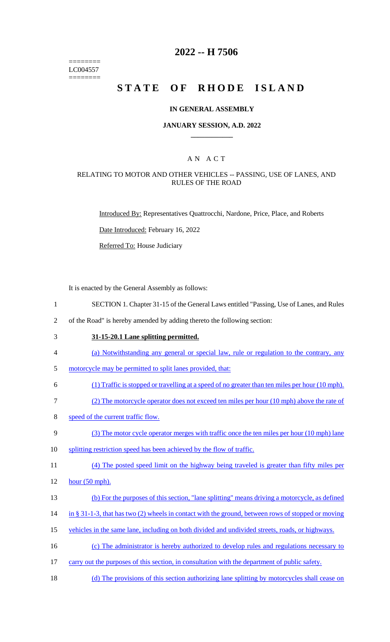======== LC004557 ========

# **2022 -- H 7506**

# **STATE OF RHODE ISLAND**

### **IN GENERAL ASSEMBLY**

### **JANUARY SESSION, A.D. 2022 \_\_\_\_\_\_\_\_\_\_\_\_**

### A N A C T

### RELATING TO MOTOR AND OTHER VEHICLES -- PASSING, USE OF LANES, AND RULES OF THE ROAD

Introduced By: Representatives Quattrocchi, Nardone, Price, Place, and Roberts

Date Introduced: February 16, 2022

Referred To: House Judiciary

It is enacted by the General Assembly as follows:

- 1 SECTION 1. Chapter 31-15 of the General Laws entitled "Passing, Use of Lanes, and Rules
- 2 of the Road" is hereby amended by adding thereto the following section:
- 

3 **31-15-20.1 Lane splitting permitted.** 

- 4 (a) Notwithstanding any general or special law, rule or regulation to the contrary, any
- 5 motorcycle may be permitted to split lanes provided, that:
- 6 (1) Traffic is stopped or travelling at a speed of no greater than ten miles per hour (10 mph).
- 7 (2) The motorcycle operator does not exceed ten miles per hour (10 mph) above the rate of
- 8 speed of the current traffic flow.
- 9 (3) The motor cycle operator merges with traffic once the ten miles per hour (10 mph) lane
- 10 splitting restriction speed has been achieved by the flow of traffic.
- 11 (4) The posted speed limit on the highway being traveled is greater than fifty miles per
- 12 hour (50 mph).
- 13 (b) For the purposes of this section, "lane splitting" means driving a motorcycle, as defined
- 14 in § 31-1-3, that has two (2) wheels in contact with the ground, between rows of stopped or moving
- 15 vehicles in the same lane, including on both divided and undivided streets, roads, or highways.
- 16 (c) The administrator is hereby authorized to develop rules and regulations necessary to
- 17 carry out the purposes of this section, in consultation with the department of public safety.
- 18 (d) The provisions of this section authorizing lane splitting by motorcycles shall cease on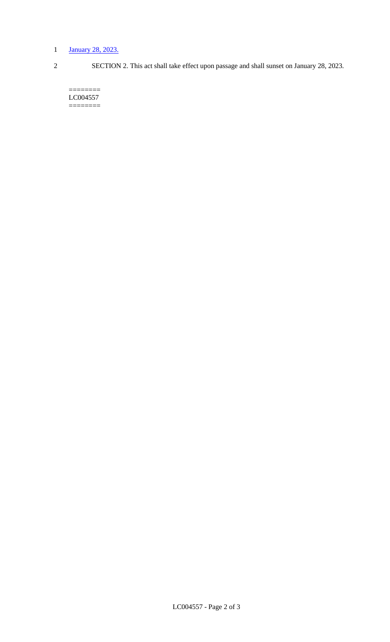# 1 January 28, 2023.

2 SECTION 2. This act shall take effect upon passage and shall sunset on January 28, 2023.

======== LC004557 ========